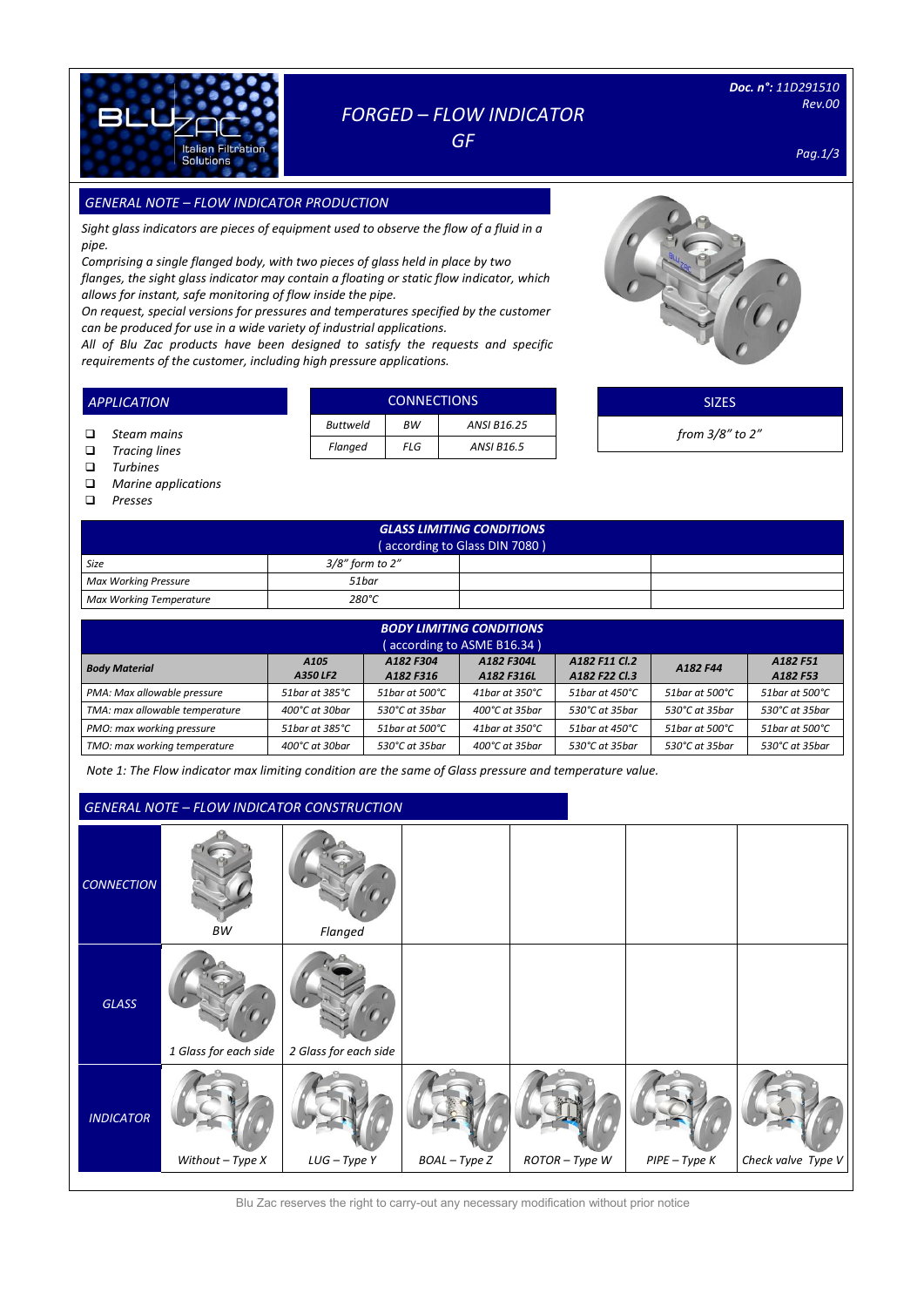

## *FORGED – FLOW INDICATOR*

*GF* 

*Doc. n°: 11D291510 Rev.00* 

*Pag.1/3*

### *GENERAL NOTE – FLOW INDICATOR PRODUCTION SIZES*

*Sight glass indicators are pieces of equipment used to observe the flow of a fluid in a pipe.*

*Comprising a single flanged body, with two pieces of glass held in place by two flanges, the sight glass indicator may contain a floating or static flow indicator, which allows for instant, safe monitoring of flow inside the pipe.*

*On request, special versions for pressures and temperatures specified by the customer can be produced for use in a wide variety of industrial applications.*

*All of Blu Zac products have been designed to satisfy the requests and specific requirements of the customer, including high pressure applications.* 

|                 | <b>CONNECTIONS</b> |                    |
|-----------------|--------------------|--------------------|
| <b>Buttweld</b> | <b>BW</b>          | <b>ANSI B16.25</b> |
| Flanged         | FLG                | <b>ANSI B16.5</b>  |



SIZES

*from 3/8" to 2"*

 *Steam mains Tracing lines*

*APPLICATION*

- *Turbines*
- *Marine applications*
- *Presses*

| <b>GLASS LIMITING CONDITIONS</b><br>(according to Glass DIN 7080) |                 |  |  |  |  |  |  |
|-------------------------------------------------------------------|-----------------|--|--|--|--|--|--|
| Size                                                              | 3/8" form to 2" |  |  |  |  |  |  |
| <b>Max Working Pressure</b>                                       | 51bar           |  |  |  |  |  |  |
| <b>Max Working Temperature</b>                                    | 280°C           |  |  |  |  |  |  |

| <b>BODY LIMITING CONDITIONS</b><br>(according to ASME B16.34)                                                                                                                    |                            |                  |                            |                           |                             |                |  |  |  |  |
|----------------------------------------------------------------------------------------------------------------------------------------------------------------------------------|----------------------------|------------------|----------------------------|---------------------------|-----------------------------|----------------|--|--|--|--|
| A182 F11 Cl.2<br>A182 F304<br>A182 F304L<br>A182 F51<br>A <sub>105</sub><br><b>Body Material</b><br>A182 F44<br>A350 LF2<br>A182 F22 Cl.3<br>A182 F316<br>A182 F316L<br>A182 F53 |                            |                  |                            |                           |                             |                |  |  |  |  |
| PMA: Max allowable pressure                                                                                                                                                      | 51bar at 385°C             | 51bar at 500°C   | 41bar at 350°C             | 51bar at 450°C            | 51bar at 500°C              | 51bar at 500°C |  |  |  |  |
| TMA: max allowable temperature                                                                                                                                                   | $400^{\circ}$ C at 30 har  | 530°C at 35bar   | 400°C at 35bar             | 530°C at 35bar            | 530°C at 35bar              | 530°C at 35bar |  |  |  |  |
| PMO: max working pressure                                                                                                                                                        | 51 bar at 385 $^{\circ}$ C | 51 bar at 500 °C | 41 bar at 350 $^{\circ}$ C | 51 bar at $450^{\circ}$ C | $51$ bar at $500^{\circ}$ C | 51bar at 500°C |  |  |  |  |
| TMO: max working temperature                                                                                                                                                     | 400°C at 30bar             | 530°C at 35bar   | 400°C at 35bar             | 530°C at 35bar            | 530℃ at 35bar               | 530°C at 35bar |  |  |  |  |

*Note 1: The Flow indicator max limiting condition are the same of Glass pressure and temperature value.*

### *GENERAL NOTE – FLOW INDICATOR CONSTRUCTION*

|                   |                       | <u>ULIVEINE NOTE</u> TEOW INDICATOR CONSTRUCTION |               |                |                 |                      |
|-------------------|-----------------------|--------------------------------------------------|---------------|----------------|-----------------|----------------------|
| <b>CONNECTION</b> | $\cal{BW}$            | Flanged                                          |               |                |                 |                      |
| GLASS             | 1 Glass for each side | 2 Glass for each side                            |               |                |                 |                      |
| <b>INDICATOR</b>  | Without $-$ Type $X$  | LUG - Type Y                                     | BOAL - Type Z | $ROTOR-Type$ W | $PIPE - Type K$ | Check valve Type $V$ |

Blu Zac reserves the right to carry-out any necessary modification without prior notice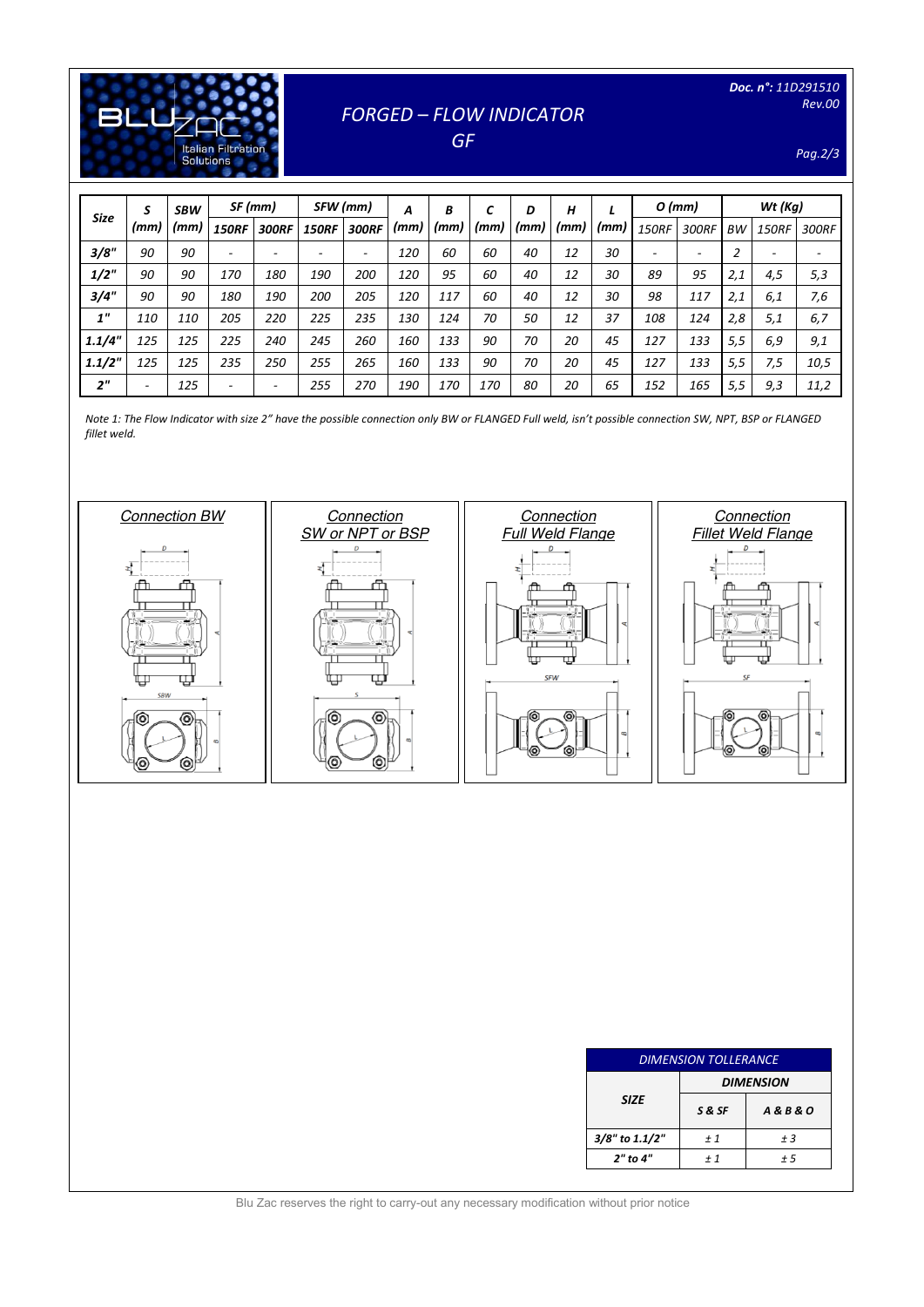

# *FORGED – FLOW INDICATOR*

*GF* 

*Pag.2/3*

| <b>Size</b>     | S<br>(mm)                | <b>SBW</b> | SF (mm)      |              | SFW (mm)                 |              | B<br>A | C    | н<br>D |      | $O$ (mm) |      | $Wt$ (Kg)                |                          |                |              |       |
|-----------------|--------------------------|------------|--------------|--------------|--------------------------|--------------|--------|------|--------|------|----------|------|--------------------------|--------------------------|----------------|--------------|-------|
|                 |                          | (mm)       | <b>150RF</b> | <b>300RF</b> | <b>150RF</b>             | <b>300RF</b> | (mm)   | (mm) | (mm)   | (mm) | (mm)     | (mm) | <b>150RF</b>             | 300RF                    | <b>BW</b>      | <b>150RF</b> | 300RF |
| 3/8"            | 90                       | 90         |              | ۰            | $\overline{\phantom{0}}$ | ۰            | 120    | 60   | 60     | 40   | 12       | 30   | $\overline{\phantom{a}}$ | $\overline{\phantom{a}}$ | $\overline{2}$ | ۰            | ۰     |
| $1/2$ "         | 90                       | 90         | 170          | 180          | 190                      | 200          | 120    | 95   | 60     | 40   | 12       | 30   | 89                       | 95                       | 2,1            | 4,5          | 5,3   |
| 3/4"            | 90                       | 90         | 180          | 190          | 200                      | 205          | 120    | 117  | 60     | 40   | 12       | 30   | 98                       | 117                      | 2,1            | 6,1          | 7,6   |
| 1 <sup>''</sup> | 110                      | 110        | 205          | 220          | 225                      | 235          | 130    | 124  | 70     | 50   | 12       | 37   | 108                      | 124                      | 2,8            | 5,1          | 6,7   |
| 1.1/4"          | 125                      | 125        | 225          | 240          | 245                      | 260          | 160    | 133  | 90     | 70   | 20       | 45   | 127                      | 133                      | 5,5            | 6,9          | 9,1   |
| 1.1/2"          | 125                      | 125        | 235          | 250          | 255                      | 265          | 160    | 133  | 90     | 70   | 20       | 45   | 127                      | 133                      | 5,5            | 7,5          | 10,5  |
| 2 <sup>n</sup>  | $\overline{\phantom{a}}$ | 125        |              |              | 255                      | 270          | 190    | 170  | 170    | 80   | 20       | 65   | 152                      | 165                      | 5,5            | 9,3          | 11,2  |

*Note 1: The Flow Indicator with size 2" have the possible connection only BW or FLANGED Full weld, isn't possible connection SW, NPT, BSP or FLANGED fillet weld.*



| <b>DIMENSION TOLLERANCE</b> |                  |                      |  |  |  |  |  |  |
|-----------------------------|------------------|----------------------|--|--|--|--|--|--|
|                             | <b>DIMENSION</b> |                      |  |  |  |  |  |  |
| <b>SIZE</b>                 | S&SF             | <b>A&amp;B&amp;O</b> |  |  |  |  |  |  |
| 3/8" to 1.1/2"              | ±1               | ±3                   |  |  |  |  |  |  |
| 2" to 4"                    | + 1              | $+5$                 |  |  |  |  |  |  |